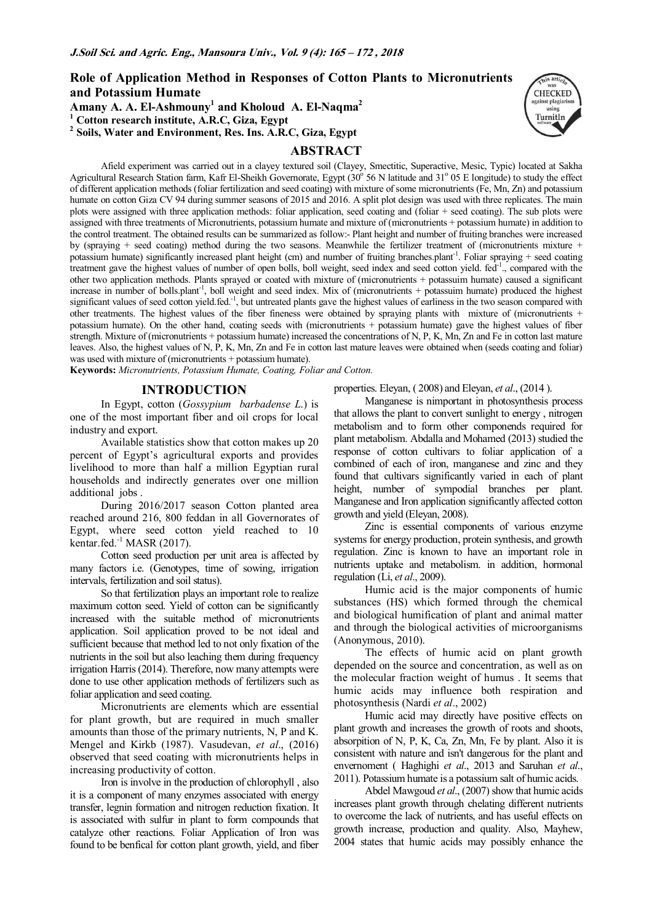**Role of Application Method in Responses of Cotton Plants to Micronutrients and Potassium Humate** 

**Amany A. A. El-Ashmouny<sup>1</sup> and Kholoud A. El-Naqma<sup>2</sup>**

**1 Cotton research institute, A.R.C, Giza, Egypt** 

**2 Soils, Water and Environment, Res. Ins. A.R.C, Giza, Egypt** 

# **ABSTRACT**



Afield experiment was carried out in a clayey textured soil (Clayey, Smectitic, Superactive, Mesic, Typic) located at Sakha Agricultural Research Station farm, Kafr El-Sheikh Governorate, Egypt (30<sup>o</sup> 56 N latitude and 31<sup>o</sup> 05 E longitude) to study the effect of different application methods (foliar fertilization and seed coating) with mixture of some micronutrients (Fe, Mn, Zn) and potassium humate on cotton Giza CV 94 during summer seasons of 2015 and 2016. A split plot design was used with three replicates. The main plots were assigned with three application methods: foliar application, seed coating and (foliar + seed coating). The sub plots were assigned with three treatments of Micronutrients, potassium humate and mixture of (micronutrients + potassium humate) in addition to the control treatment. The obtained results can be summarized as follow:- Plant height and number of fruiting branches were increased by (spraying + seed coating) method during the two seasons. Meanwhile the fertilizer treatment of (micronutrients mixture + potassium humate) significantly increased plant height (cm) and number of fruiting branches.plant<sup>-1</sup>. Foliar spraying + seed coating treatment gave the highest values of number of open bolls, boll weight, seed index and seed cotton yield. fed-1., compared with the other two application methods. Plants sprayed or coated with mixture of (micronutrients + potassuim humate) caused a significant increase in number of bolls.plant<sup>-1</sup>, boll weight and seed index. Mix of (micronutrients + potassuim humate) produced the highest significant values of seed cotton yield.fed. $^{-1}$ , but untreated plants gave the highest values of earliness in the two season compared with other treatments. The highest values of the fiber fineness were obtained by spraying plants with mixture of (micronutrients + potassium humate). On the other hand, coating seeds with (micronutrients + potassium humate) gave the highest values of fiber strength. Mixture of (micronutrients + potassium humate) increased the concentrations of N, P, K, Mn, Zn and Fe in cotton last mature leaves. Also, the highest values of N, P, K, Mn, Zn and Fe in cotton last mature leaves were obtained when (seeds coating and foliar) was used with mixture of (micronutrients + potassium humate).

**Keywords:** *Micronutrients, Potassium Humate, Coating, Foliar and Cotton.* 

### **INTRODUCTION**

In Egypt, cotton (*Gossypium barbadense L*.) is one of the most important fiber and oil crops for local industry and export.

Available statistics show that cotton makes up 20 percent of Egypt's agricultural exports and provides livelihood to more than half a million Egyptian rural households and indirectly generates over one million additional jobs .

During 2016/2017 season Cotton planted area reached around 216, 800 feddan in all Governorates of Egypt, where seed cotton yield reached to 10 kentar.fed. $^{-1}$  MASR (2017).

Cotton seed production per unit area is affected by many factors i.e. (Genotypes, time of sowing, irrigation intervals, fertilization and soil status).

So that fertilization plays an important role to realize maximum cotton seed. Yield of cotton can be significantly increased with the suitable method of micronutrients application. Soil application proved to be not ideal and sufficient because that method led to not only fixation of the nutrients in the soil but also leaching them during frequency irrigation Harris (2014). Therefore, now many attempts were done to use other application methods of fertilizers such as foliar application and seed coating.

Micronutrients are elements which are essential for plant growth, but are required in much smaller amounts than those of the primary nutrients, N, P and K. Mengel and Kirkb (1987). Vasudevan, *et al*., (2016) observed that seed coating with micronutrients helps in increasing productivity of cotton.

Iron is involve in the production of chlorophyll , also it is a component of many enzymes associated with energy transfer, legnin formation and nitrogen reduction fixation. It is associated with sulfur in plant to form compounds that catalyze other reactions. Foliar Application of Iron was found to be benfical for cotton plant growth, yield, and fiber

properties. Eleyan, ( 2008) and Eleyan, *et al*., (2014 ).

Manganese is nimportant in photosynthesis process that allows the plant to convert sunlight to energy , nitrogen metabolism and to form other componends required for plant metabolism. Abdalla and Mohamed (2013) studied the response of cotton cultivars to foliar application of a combined of each of iron, manganese and zinc and they found that cultivars significantly varied in each of plant height, number of sympodial branches per plant. Manganese and Iron application significantly affected cotton growth and yield (Eleyan, 2008).

Zinc is essential components of various enzyme systems for energy production, protein synthesis, and growth regulation. Zinc is known to have an important role in nutrients uptake and metabolism. in addition, hormonal regulation (Li, *et al*., 2009).

Humic acid is the major components of humic substances (HS) which formed through the chemical and biological humification of plant and animal matter and through the biological activities of microorganisms (Anonymous, 2010).

The effects of humic acid on plant growth depended on the source and concentration, as well as on the molecular fraction weight of humus . It seems that humic acids may influence both respiration and photosynthesis (Nardi *et al*., 2002)

Humic acid may directly have positive effects on plant growth and increases the growth of roots and shoots, absorpition of N, P, K, Ca, Zn, Mn, Fe by plant. Also it is consistent with nature and isn't dangerous for the plant and envernoment ( Haghighi *et al*., 2013 and Saruhan *et al*., 2011). Potassium humate is a potassium salt of humic acids.

Abdel Mawgoud *et al*., (2007) show that humic acids increases plant growth through chelating different nutrients to overcome the lack of nutrients, and has useful effects on growth increase, production and quality. Also, Mayhew, 2004 states that humic acids may possibly enhance the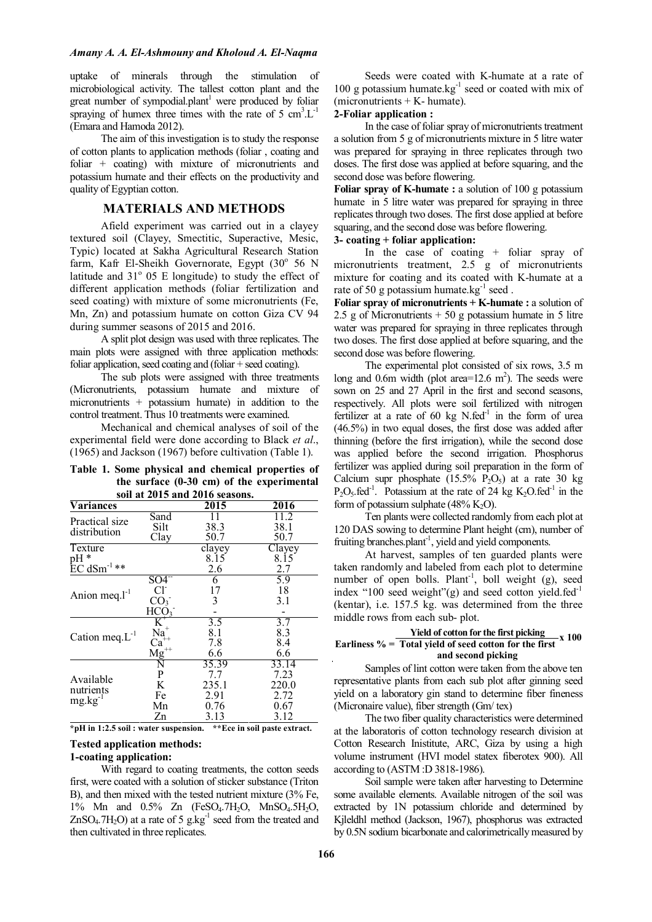### *Amany A. A. El-Ashmouny and Kholoud A. El-Naqma*

uptake of minerals through the stimulation of microbiological activity. The tallest cotton plant and the great number of sympodial.plant<sup>1</sup> were produced by foliar spraying of humex three times with the rate of  $5 \text{ cm}^3$ . $L^{-1}$ (Emara and Hamoda 2012).

The aim of this investigation is to study the response of cotton plants to application methods (foliar , coating and foliar + coating) with mixture of micronutrients and potassium humate and their effects on the productivity and quality of Egyptian cotton.

## **MATERIALS AND METHODS**

Afield experiment was carried out in a clayey textured soil (Clayey, Smectitic, Superactive, Mesic, Typic) located at Sakha Agricultural Research Station farm, Kafr El-Sheikh Governorate, Egypt (30° 56 N latitude and  $31^\circ$  05 E longitude) to study the effect of different application methods (foliar fertilization and seed coating) with mixture of some micronutrients (Fe, Mn, Zn) and potassium humate on cotton Giza CV 94 during summer seasons of 2015 and 2016.

A split plot design was used with three replicates. The main plots were assigned with three application methods: foliar application, seed coating and (foliar + seed coating).

The sub plots were assigned with three treatments (Micronutrients, potassium humate and mixture of micronutrients + potassium humate) in addition to the control treatment. Thus 10 treatments were examined.

Mechanical and chemical analyses of soil of the experimental field were done according to Black *et al*., (1965) and Jackson (1967) before cultivation (Table 1).

| Table 1. Some physical and chemical properties of |
|---------------------------------------------------|
| the surface $(0-30$ cm) of the experimental       |
| soil at 2015 and 2016 seasons.                    |

| Variances            |                   | 2015   | 2016   |
|----------------------|-------------------|--------|--------|
|                      | Sand              | 11     | 11.2   |
| Practical size       | Silt              | 38.3   | 38.1   |
| distribution         |                   |        |        |
|                      | Clay              | 50.7   | 50.7   |
| Texture              |                   | clayey | Clayey |
| $pH*$                |                   | 8.15   | 8.15   |
| $EC dSm^{-1}$ **     |                   | 2.6    | 2.7    |
|                      | $S\overline{O4}$  | 6      | 5.9    |
|                      | CF                | 17     | 18     |
| Anion meq. $l^{-1}$  | CO <sub>3</sub>   | 3      | 3.1    |
|                      | HCO <sub>3</sub>  |        |        |
|                      | $K^*$             | 3.5    | 3.7    |
| Cation meq. $L^{-1}$ | $Na+$             | 8.1    | 8.3    |
|                      | $Ca^{\tilde{+}+}$ | 7.8    | 8.4    |
|                      | $\frac{Mg}{N}$    | 6.6    | 6.6    |
|                      |                   | 35.39  | 33.14  |
|                      | P                 | 7.7    | 7.23   |
| Available            | K                 | 235.1  | 220.0  |
| nutrients            | Fe                | 2.91   | 2.72   |
| $mg \, kg^{-1}$      | Mn                | 0.76   | 0.67   |
|                      | Zn                | 3.13   | 3.12   |

**\*pH in 1:2.5 soil : water suspension. \*\*Ece in soil paste extract.** 

### **Tested application methods: 1-coating application:**

With regard to coating treatments, the cotton seeds first, were coated with a solution of sticker substance (Triton B), and then mixed with the tested nutrient mixture (3% Fe, 1% Mn and 0.5% Zn (FeSO4.7H2O, MnSO4.5H2O,  $ZnSO<sub>4</sub>$ .7H<sub>2</sub>O) at a rate of 5 g.kg<sup>-1</sup> seed from the treated and then cultivated in three replicates.

Seeds were coated with K-humate at a rate of 100 g potassium humate.kg $^{-1}$  seed or coated with mix of  $(micronutrients + K- humate).$ 

# **2-Foliar application :**

In the case of foliar spray of micronutrients treatment a solution from 5 g of micronutrients mixture in 5 litre water was prepared for spraying in three replicates through two doses. The first dose was applied at before squaring, and the second dose was before flowering.

**Foliar spray of K-humate :** a solution of 100 g potassium humate in 5 litre water was prepared for spraying in three replicates through two doses. The first dose applied at before squaring, and the second dose was before flowering.

### **3- coating + foliar application:**

In the case of coating + foliar spray of micronutrients treatment, 2.5 g of micronutrients mixture for coating and its coated with K-humate at a rate of 50 g potassium humate.kg $^{-1}$  seed.

**Foliar spray of micronutrients + K-humate :** a solution of 2.5 g of Micronutrients  $+50$  g potassium humate in 5 litre water was prepared for spraying in three replicates through two doses. The first dose applied at before squaring, and the second dose was before flowering.

The experimental plot consisted of six rows, 3.5 m long and 0.6m width (plot area= $12.6 \text{ m}^2$ ). The seeds were sown on 25 and 27 April in the first and second seasons, respectively. All plots were soil fertilized with nitrogen fertilizer at a rate of 60 kg  $N$ .fed<sup>-1</sup> in the form of urea (46.5%) in two equal doses, the first dose was added after thinning (before the first irrigation), while the second dose was applied before the second irrigation. Phosphorus fertilizer was applied during soil preparation in the form of Calcium supr phosphate  $(15.5\% \text{ P}_2\text{O}_5)$  at a rate 30 kg  $P_2O_5$  fed<sup>-1</sup>. Potassium at the rate of 24 kg K<sub>2</sub>O.fed<sup>-1</sup> in the form of potassium sulphate  $(48\% \text{ K}_2\text{O})$ .

Ten plants were collected randomly from each plot at 120 DAS sowing to determine Plant height (cm), number of fruiting branches.plant<sup>-1</sup>, yield and yield components.

At harvest, samples of ten guarded plants were taken randomly and labeled from each plot to determine number of open bolls. Plant<sup>-1</sup>, boll weight (g), seed index "100 seed weight"(g) and seed cotton yield.fed<sup>-1</sup> (kentar), i.e. 157.5 kg. was determined from the three middle rows from each sub- plot.

#### **Yield of cotton for the first picking Earliness % = Total yield of seed cotton for the first and second picking x 100**

Samples of lint cotton were taken from the above ten representative plants from each sub plot after ginning seed yield on a laboratory gin stand to determine fiber fineness (Micronaire value), fiber strength (Gm/ tex)

The two fiber quality characteristics were determined at the laboratoris of cotton technology research division at Cotton Research Inistitute, ARC, Giza by using a high volume instrument (HVI model statex fiberotex 900). All according to (ASTM :D 3818-1986).

Soil sample were taken after harvesting to Determine some available elements. Available nitrogen of the soil was extracted by 1N potassium chloride and determined by Kjleldhl method (Jackson, 1967), phosphorus was extracted by 0.5N sodium bicarbonate and calorimetrically measured by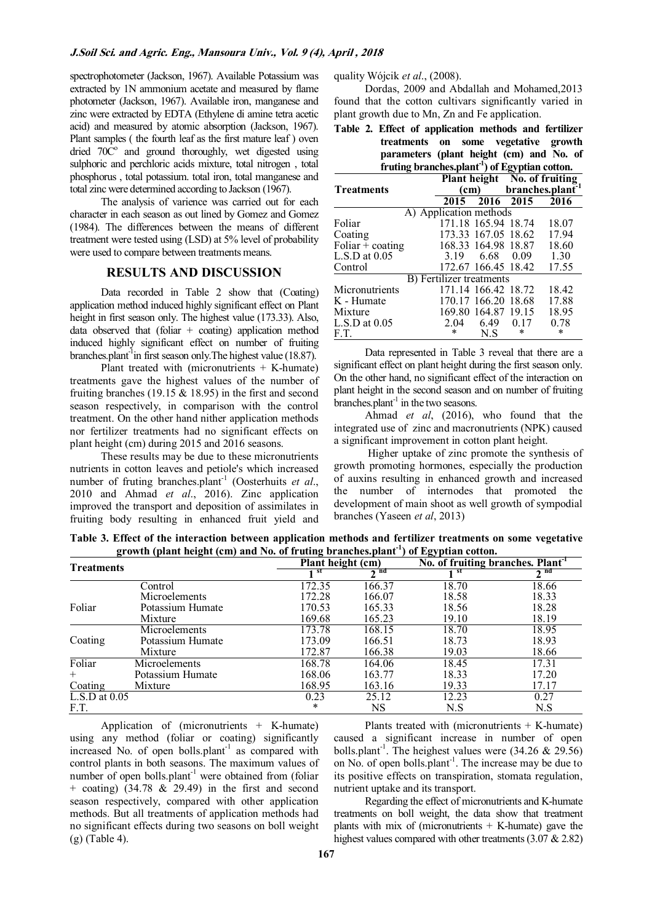spectrophotometer (Jackson, 1967). Available Potassium was extracted by 1N ammonium acetate and measured by flame photometer (Jackson, 1967). Available iron, manganese and zinc were extracted by EDTA (Ethylene di amine tetra acetic acid) and measured by atomic absorption (Jackson, 1967). Plant samples ( the fourth leaf as the first mature leaf ) oven dried  $70\text{°}$  and ground thoroughly, wet digested using sulphoric and perchloric acids mixture, total nitrogen , total phosphorus , total potassium. total iron, total manganese and total zinc were determined according to Jackson (1967).

The analysis of varience was carried out for each character in each season as out lined by Gomez and Gomez (1984). The differences between the means of different treatment were tested using (LSD) at 5% level of probability were used to compare between treatments means.

## **RESULTS AND DISCUSSION**

Data recorded in Table 2 show that (Coating) application method induced highly significant effect on Plant height in first season only. The highest value (173.33). Also, data observed that (foliar  $+$  coating) application method induced highly significant effect on number of fruiting branches.plant<sup>-1</sup>in first season only. The highest value (18.87).

Plant treated with (micronutrients  $+$  K-humate) treatments gave the highest values of the number of fruiting branches (19.15  $& 18.95$ ) in the first and second season respectively, in comparison with the control treatment. On the other hand nither application methods nor fertilizer treatments had no significant effects on plant height (cm) during 2015 and 2016 seasons.

These results may be due to these micronutrients nutrients in cotton leaves and petiole's which increased number of fruting branches.plant<sup>-1</sup> (Oosterhuits *et al.*, 2010 and Ahmad *et al*., 2016). Zinc application improved the transport and deposition of assimilates in fruiting body resulting in enhanced fruit yield and quality Wójcik *et al*., (2008).

Dordas, 2009 and Abdallah and Mohamed,2013 found that the cotton cultivars significantly varied in plant growth due to Mn, Zn and Fe application.

**Table 2. Effect of application methods and fertilizer treatments on some vegetative growth parameters (plant height (cm) and No. of fruting branches.plant-1) of Egyptian cotton.** 

| If uting branches.plant for Egyptian cotton. |                                  |                     |      |                              |  |  |  |
|----------------------------------------------|----------------------------------|---------------------|------|------------------------------|--|--|--|
|                                              |                                  |                     |      | Plant height No. of fruiting |  |  |  |
| <b>Treatments</b>                            |                                  | (cm)                |      | branches.plant               |  |  |  |
|                                              | 2015                             | 2016 2015           |      | 2016                         |  |  |  |
|                                              | A) Application methods           |                     |      |                              |  |  |  |
| Foliar                                       |                                  | 171.18 165.94 18.74 |      | 18.07                        |  |  |  |
| Coating                                      |                                  | 173.33 167.05 18.62 |      | 17.94                        |  |  |  |
| Foliar $+$ coating                           |                                  | 168.33 164.98 18.87 |      | 18.60                        |  |  |  |
| $L.S.D$ at $0.05$                            |                                  | 3.19 6.68           | 0.09 | 1.30                         |  |  |  |
| Control                                      |                                  | 172.67 166.45 18.42 |      | 17.55                        |  |  |  |
|                                              | <b>B</b> ) Fertilizer treatments |                     |      |                              |  |  |  |
| Micronutrients                               |                                  | 171.14 166.42 18.72 |      | 18.42                        |  |  |  |
| K - Humate                                   |                                  | 170.17 166.20 18.68 |      | 17.88                        |  |  |  |
| Mixture                                      |                                  | 169.80 164.87 19.15 |      | 18.95                        |  |  |  |
| $L.S.D$ at $0.05$                            | 2.04                             | 6.49                | 0.17 | 0.78                         |  |  |  |
| F.T.                                         | *                                | N S                 | *    | ∗                            |  |  |  |

Data represented in Table 3 reveal that there are a significant effect on plant height during the first season only. On the other hand, no significant effect of the interaction on plant height in the second season and on number of fruiting  $branches.plant<sup>-1</sup>$  in the two seasons.

Ahmad *et al*, (2016), who found that the integrated use of zinc and macronutrients (NPK) caused a significant improvement in cotton plant height.

 Higher uptake of zinc promote the synthesis of growth promoting hormones, especially the production of auxins resulting in enhanced growth and increased the number of internodes that promoted the development of main shoot as well growth of sympodial branches (Yaseen *et al*, 2013)

**Table 3. Effect of the interaction between application methods and fertilizer treatments on some vegetative growth (plant height (cm) and No. of fruting branches.plant -1) of Egyptian cotton.** 

| <b>Treatments</b>                 | $\overline{ }$<br>$\mathbf{a}$ | $\overline{ }$<br>Plant height (cm) |              | $\sigma$<br>No. of fruiting branches. Plant <sup>1</sup> |             |
|-----------------------------------|--------------------------------|-------------------------------------|--------------|----------------------------------------------------------|-------------|
|                                   |                                | ∣st                                 | $\lambda$ nd | st                                                       | $\gamma$ nd |
|                                   | Control                        | 172.35                              | 166.37       | 18.70                                                    | 18.66       |
|                                   | Microelements                  | 172.28                              | 166.07       | 18.58                                                    | 18.33       |
| Foliar                            | Potassium Humate               | 170.53                              | 165.33       | 18.56                                                    | 18.28       |
|                                   | Mixture                        | 169.68                              | 165.23       | 19.10                                                    | 18.19       |
|                                   | Microelements                  | 173.78                              | 168.15       | 18.70                                                    | 18.95       |
| Coating                           | Potassium Humate               | 173.09                              | 166.51       | 18.73                                                    | 18.93       |
|                                   | Mixture                        | 172.87                              | 166.38       | 19.03                                                    | 18.66       |
| Foliar                            | Microelements                  | 168.78                              | 164.06       | 18.45                                                    | 17.31       |
| $^{+}$                            | Potassium Humate               | 168.06                              | 163.77       | 18.33                                                    | 17.20       |
| Coating                           | Mixture                        | 168.95                              | 163.16       | 19.33                                                    | 17.17       |
| $\overline{\text{L.S.D}}$ at 0.05 |                                | 0.23                                | 25.12        | 12.23                                                    | 0.27        |
| F.T.                              |                                | $\ast$                              | NS           | N.S                                                      | N.S         |

Application of (micronutrients + K-humate) using any method (foliar or coating) significantly increased No. of open bolls.plant<sup>-1</sup> as compared with control plants in both seasons. The maximum values of number of open bolls.plant<sup>-1</sup> were obtained from (foliar  $+$  coating) (34.78 & 29.49) in the first and second season respectively, compared with other application methods. But all treatments of application methods had no significant effects during two seasons on boll weight (g) (Table 4).

Plants treated with (micronutrients  $+$  K-humate) caused a significant increase in number of open bolls.plant<sup>-1</sup>. The heighest values were  $(34.26 \& 29.56)$ on No. of open bolls.plant<sup>-1</sup>. The increase may be due to its positive effects on transpiration, stomata regulation, nutrient uptake and its transport.

Regarding the effect of micronutrients and K-humate treatments on boll weight, the data show that treatment plants with mix of (micronutrients  $+$  K-humate) gave the highest values compared with other treatments (3.07 & 2.82)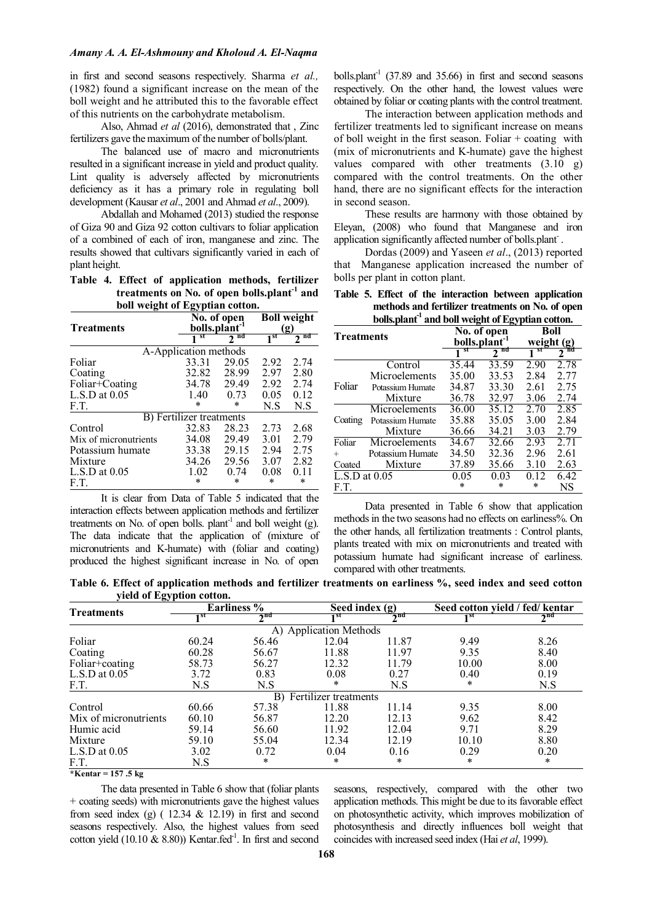in first and second seasons respectively. Sharma *et al.,* (1982) found a significant increase on the mean of the boll weight and he attributed this to the favorable effect of this nutrients on the carbohydrate metabolism.

Also, Ahmad *et al* (2016), demonstrated that , Zinc fertilizers gave the maximum of the number of bolls/plant.

The balanced use of macro and micronutrients resulted in a significant increase in yield and product quality. Lint quality is adversely affected by micronutrients deficiency as it has a primary role in regulating boll development (Kausar *et al*., 2001 and Ahmad *et al*., 2009).

Abdallah and Mohamed (2013) studied the response of Giza 90 and Giza 92 cotton cultivars to foliar application of a combined of each of iron, manganese and zinc. The results showed that cultivars significantly varied in each of plant height.

**Table 4. Effect of application methods, fertilizer treatments on No. of open bolls.plant-1 and boll weight of Egyptian cotton.** 

|                       | No. of open              | <b>Boll</b> weight        |              |      |
|-----------------------|--------------------------|---------------------------|--------------|------|
| <b>Treatments</b>     |                          | bolls.plant <sup>-1</sup> |              | (ջ)  |
|                       | st                       | nd<br>2                   | $1^{\rm st}$ | nd   |
|                       | A-Application methods    |                           |              |      |
| Foliar                | 33.31                    | 29.05                     | 2.92         | 2.74 |
| Coating               | 32.82                    | 28.99                     | 2.97         | 2.80 |
| Foliar+Coating        | 34.78                    | 29.49                     | 2.92         | 2.74 |
| $L.S.D$ at $0.05$     | 1.40                     | 0.73                      | 0.05         | 0.12 |
| F.T.                  | *                        | *                         | N.S          | N.S  |
|                       | B) Fertilizer treatments |                           |              |      |
| Control               | 32.83                    | 28.23                     | 2.73         | 2.68 |
| Mix of micronutrients | 34.08                    | 29.49                     | 3.01         | 2.79 |
| Potassium humate      | 33.38                    | 29.15                     | 2.94         | 2.75 |
| Mixture               | 34.26                    | 29.56                     | 3.07         | 2.82 |
| $L.S.D$ at $0.05$     | 1.02                     | 0.74                      | 0.08         | 0.11 |
| E.T.                  | *                        | *                         | *            | *    |

It is clear from Data of Table 5 indicated that the interaction effects between application methods and fertilizer treatments on No. of open bolls. plant<sup>-1</sup> and boll weight (g). The data indicate that the application of (mixture of micronutrients and K-humate) with (foliar and coating) produced the highest significant increase in No. of open

bolls.plant<sup>-1</sup> (37.89 and 35.66) in first and second seasons respectively. On the other hand, the lowest values were obtained by foliar or coating plants with the control treatment.

The interaction between application methods and fertilizer treatments led to significant increase on means of boll weight in the first season. Foliar  $+$  coating with (mix of micronutrients and K-humate) gave the highest values compared with other treatments (3.10 g) compared with the control treatments. On the other hand, there are no significant effects for the interaction in second season.

These results are harmony with those obtained by Eleyan, (2008) who found that Manganese and iron application significantly affected number of bolls.plant.

Dordas (2009) and Yaseen *et al*., (2013) reported that Manganese application increased the number of bolls per plant in cotton plant.

|  |  |  |  | Table 5. Effect of the interaction between application        |
|--|--|--|--|---------------------------------------------------------------|
|  |  |  |  | methods and fertilizer treatments on No. of open              |
|  |  |  |  | bolls.plant <sup>-1</sup> and boll weight of Egyptian cotton. |

| <b>Treatments</b> |                  |                           | $\frac{1}{2}$<br>No. of open | Boll         |                     |
|-------------------|------------------|---------------------------|------------------------------|--------------|---------------------|
|                   |                  | bolls.plant <sup>-1</sup> |                              | weight $(g)$ |                     |
|                   |                  | st                        | nd                           | st           | 'nä<br>$\mathbf{2}$ |
|                   | Control          | 35.44                     | 33.59                        | 2.90         | 2.78                |
|                   | Microelements    | 35.00                     | 33.53                        | 2.84         | 2.77                |
| Foliar            | Potassium Humate | 34.87                     | 33.30                        | 2.61         | 2.75                |
|                   | Mixture          | 36.78                     | 32.97                        | 3.06         | 2.74                |
|                   | Microelements    | 36.00                     | 35.12                        | 2.70         | 2.85                |
| Coating           | Potassium Humate | 35.88                     | 35.05                        | 3.00         | 2.84                |
|                   | Mixture          | 36.66                     | 34.21                        | 3.03         | 2.79                |
| Foliar            | Microelements    | 34.67                     | 32.66                        | 293          | 2.71                |
| $^{+}$            | Potassium Humate | 34.50                     | 32.36                        | 2.96         | 2.61                |
| Coated            | Mixture          | 37.89                     | 35.66                        | 3.10         | 2.63                |
| $L.S.D$ at $0.05$ |                  | 0.05                      | 0.03                         | 0.12         | 6.42                |
| F.T.              |                  | $\ast$                    | $\ast$                       | *            | NS                  |
|                   |                  |                           |                              |              |                     |

Data presented in Table 6 show that application methods in the two seasons had no effects on earliness%. On the other hands, all fertilization treatments : Control plants, plants treated with mix on micronutrients and treated with potassium humate had significant increase of earliness. compared with other treatments.

 **Table 6. Effect of application methods and fertilizer treatments on earliness %, seed index and seed cotton yield of Egyption cotton.** 

| $J$ $\mathbf{u}$ or $\mathbf{u}_{\mathbf{S}}$ puon conomi |       |                    |                       |              |                                 |              |
|-----------------------------------------------------------|-------|--------------------|-----------------------|--------------|---------------------------------|--------------|
| <b>Treatments</b>                                         |       | <b>Earliness</b> % | Seed index $(g)$      |              | Seed cotton yield / fed/ kentar |              |
|                                                           | 1 ST  | $\lambda$ nd       | ⊣sτ                   | $\lambda$ nd | 7st                             | $\lambda$ nd |
|                                                           |       | A)                 | Application Methods   |              |                                 |              |
| Foliar                                                    | 60.24 | 56.46              | 12.04                 | 11.87        | 9.49                            | 8.26         |
| Coating                                                   | 60.28 | 56.67              | 11.88                 | 11.97        | 9.35                            | 8.40         |
| Foliar+coating                                            | 58.73 | 56.27              | 12.32                 | 11.79        | 10.00                           | 8.00         |
| $L.S.D$ at $0.05$                                         | 3.72  | 0.83               | 0.08                  | 0.27         | 0.40                            | 0.19         |
| F.T.                                                      | N.S   | N.S                | *                     | N.S          | *                               | N.S          |
|                                                           |       | B)                 | Fertilizer treatments |              |                                 |              |
| Control                                                   | 60.66 | 57.38              | 11.88                 | 11.14        | 9.35                            | 8.00         |
| Mix of micronutrients                                     | 60.10 | 56.87              | 12.20                 | 12.13        | 9.62                            | 8.42         |
| Humic acid                                                | 59.14 | 56.60              | 11.92                 | 12.04        | 9.71                            | 8.29         |
| Mixture                                                   | 59.10 | 55.04              | 12.34                 | 12.19        | 10.10                           | 8.80         |
| $L.S.D$ at $0.05$                                         | 3.02  | 0.72               | 0.04                  | 0.16         | 0.29                            | 0.20         |
| F.T.                                                      | N.S   | *                  | *                     | $\ast$       | *                               | $\ast$       |

**\*Kentar = 157 .5 kg** 

The data presented in Table 6 show that (foliar plants + coating seeds) with micronutrients gave the highest values from seed index (g) ( $12.34 \& 12.19$ ) in first and second seasons respectively. Also, the highest values from seed cotton yield (10.10  $\&$  8.80)) Kentar.fed<sup>-1</sup>. In first and second seasons, respectively, compared with the other two application methods. This might be due to its favorable effect on photosynthetic activity, which improves mobilization of photosynthesis and directly influences boll weight that coincides with increased seed index (Hai *et al*, 1999).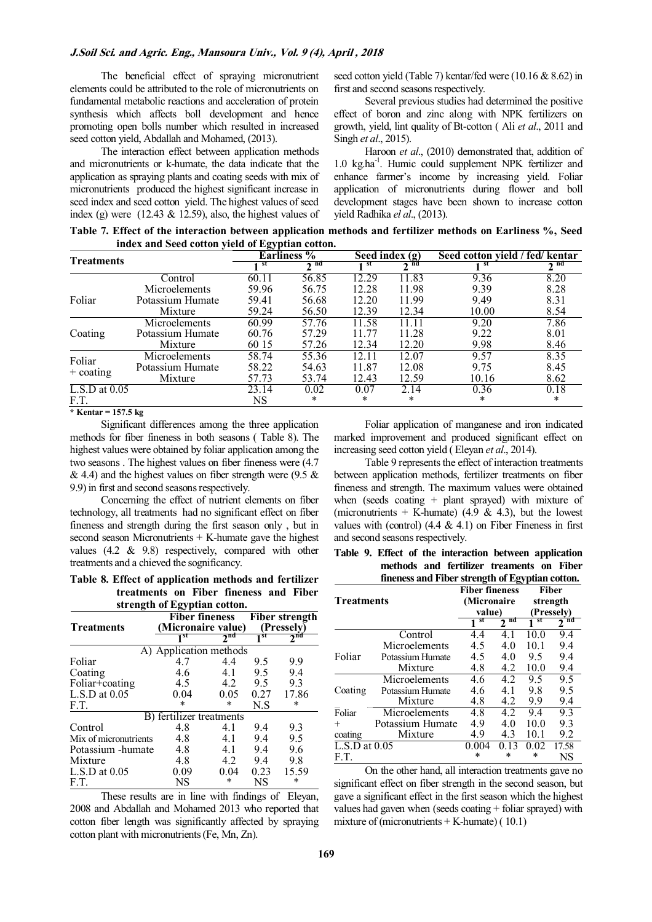The beneficial effect of spraying micronutrient elements could be attributed to the role of micronutrients on fundamental metabolic reactions and acceleration of protein synthesis which affects boll development and hence promoting open bolls number which resulted in increased seed cotton yield, Abdallah and Mohamed, (2013).

The interaction effect between application methods and micronutrients or k-humate, the data indicate that the application as spraying plants and coating seeds with mix of micronutrients produced the highest significant increase in seed index and seed cotton yield. The highest values of seed index (g) were (12.43  $&$  12.59), also, the highest values of seed cotton yield (Table 7) kentar/fed were (10.16 & 8.62) in first and second seasons respectively.

Several previous studies had determined the positive effect of boron and zinc along with NPK fertilizers on growth, yield, lint quality of Bt-cotton ( Ali *et al*., 2011 and Singh *et al*., 2015).

Haroon *et al*., (2010) demonstrated that, addition of 1.0 kg.ha<sup>-1</sup>. Humic could supplement NPK fertilizer and enhance farmer's income by increasing yield. Foliar application of micronutrients during flower and boll development stages have been shown to increase cotton yield Radhika *el al*., (2013).

**Table 7. Effect of the interaction between application methods and fertilizer methods on Earliness %, Seed index and Seed cotton yield of Egyptian cotton.** 

| Treatments                        |                  | ອ⊽ .  | Earliness <sup>%</sup> | Seed index $(g)$ |       | Seed cotton yield / fed/ kentar |        |
|-----------------------------------|------------------|-------|------------------------|------------------|-------|---------------------------------|--------|
|                                   |                  | st    | ን na                   |                  | ን በበ  |                                 | ¬ na   |
|                                   | Control          | 60.11 | 56.85                  | 12.29            | 11.83 | 9.36                            | 8.20   |
|                                   | Microelements    | 59.96 | 56.75                  | 12.28            | 11.98 | 9.39                            | 8.28   |
| Foliar                            | Potassium Humate | 59.41 | 56.68                  | 12.20            | 11.99 | 9.49                            | 8.31   |
|                                   | Mixture          | 59.24 | 56.50                  | 12.39            | 12.34 | 10.00                           | 8.54   |
|                                   | Microelements    | 60.99 | 57.76                  | 11.58            | 11.11 | 9.20                            | 7.86   |
| Coating                           | Potassium Humate | 60.76 | 57.29                  | 11 77            | 11.28 | 9.22                            | 8.01   |
|                                   | Mixture          | 60 15 | 57.26                  | 12.34            | 12.20 | 9.98                            | 8.46   |
| Foliar                            | Microelements    | 58.74 | 55.36                  | 12.11            | 12.07 | 9.57                            | 8.35   |
|                                   | Potassium Humate | 58.22 | 54.63                  | 11.87            | 12.08 | 9.75                            | 8.45   |
| $+$ coating                       | Mixture          | 57.73 | 53.74                  | 12.43            | 12.59 | 10.16                           | 8.62   |
| $\overline{\text{L.S.D}}$ at 0.05 |                  | 23.14 | 0.02                   | 0.07             | 2.14  | 0.36                            | 0.18   |
| F.T.                              |                  | NS    | $\ast$                 | $\ast$           | *     | $\ast$                          | $\ast$ |

**\* Kentar = 157.5 kg** 

Significant differences among the three application methods for fiber fineness in both seasons ( Table 8). The highest values were obtained by foliar application among the two seasons . The highest values on fiber fineness were (4.7  $\&$  4.4) and the highest values on fiber strength were (9.5  $\&$ 9.9) in first and second seasons respectively.

Concerning the effect of nutrient elements on fiber technology, all treatments had no significant effect on fiber fineness and strength during the first season only , but in second season Micronutrients  $+$  K-humate gave the highest values (4.2 & 9.8) respectively, compared with other treatments and a chieved the sognificancy.

**Table 8. Effect of application methods and fertilizer treatments on Fiber fineness and Fiber** 

| strength of Egyptian cotton. |                                             |                     |                                     |                     |  |  |  |
|------------------------------|---------------------------------------------|---------------------|-------------------------------------|---------------------|--|--|--|
| <b>Treatments</b>            | <b>Fiber fineness</b><br>(Micronaire value) |                     | <b>Fiber strength</b><br>(Presselv) |                     |  |  |  |
|                              | 1 st                                        | $2^{\overline{nd}}$ | 1 st                                | $2^{\overline{nd}}$ |  |  |  |
|                              | A) Application methods                      |                     |                                     |                     |  |  |  |
| Foliar                       | 47                                          | 44                  | 9.5                                 | 9.9                 |  |  |  |
| Coating                      | 4.6                                         | 41                  | 95                                  | 9.4                 |  |  |  |
| Foliar+coating               | 4.5                                         | 4.2                 | 9.5                                 | 9.3                 |  |  |  |
| $L.S.D$ at $0.05$            | 0.04                                        | $0.05 -$            | 0.27                                | 17.86               |  |  |  |
| F.T.                         | *                                           | $\ast$              | N.S                                 | *                   |  |  |  |
|                              | B) fertilizer treatments                    |                     |                                     |                     |  |  |  |
| Control                      | 4.8                                         | 41                  | 9.4                                 | 9.3                 |  |  |  |
| Mix of micronutrients        | 4.8                                         | 4.1                 | 9.4                                 | 9.5                 |  |  |  |
| Potassium - humate           | 4.8                                         | 4.1                 | 9.4                                 | 9.6                 |  |  |  |
| Mixture                      | 4.8                                         | 4.2                 | 9.4                                 | 9.8                 |  |  |  |
| $L.S.D$ at $0.05$            | 0.09                                        | 0.04                | 0.23                                | 15.59               |  |  |  |
| F.T.                         | NS                                          | *                   | NS                                  | *                   |  |  |  |

These results are in line with findings of Eleyan, 2008 and Abdallah and Mohamed 2013 who reported that cotton fiber length was significantly affected by spraying cotton plant with micronutrients (Fe, Mn, Zn).

Foliar application of manganese and iron indicated marked improvement and produced significant effect on increasing seed cotton yield ( Eleyan *et al*., 2014).

Table 9 represents the effect of interaction treatments between application methods, fertilizer treatments on fiber fineness and strength. The maximum values were obtained when (seeds coating  $+$  plant sprayed) with mixture of (micronutrients + K-humate) (4.9 & 4.3), but the lowest values with (control)  $(4.4 \& 4.1)$  on Fiber Fineness in first and second seasons respectively.

**Table 9. Effect of the interaction between application methods and fertilizer treaments on Fiber fineness and Fiber strength of Egyptian cotton.** 

|                   |                  | <b>Fiber fineness</b> |                      |      | <b>Fiber</b> |
|-------------------|------------------|-----------------------|----------------------|------|--------------|
| <b>Treatments</b> |                  | (Micronaire           |                      |      | strength     |
|                   |                  | value)                |                      |      | (Pressely)   |
|                   |                  | sτ                    | nd<br>$\mathfrak{D}$ | sτ   | na<br>2      |
|                   | Control          | 4.4                   | 41                   | 10.0 | 9.4          |
|                   | Microelements    | 4.5                   | 4.0                  | 10.1 | 9.4          |
| Foliar            | Potassium Humate | 4.5                   | 4.0                  | 9.5  | 9.4          |
|                   | Mixture          | 4.8                   | 4.2                  | 10.0 | 9.4          |
|                   | Microelements    | 4.6                   | 42                   | 9.5  | 9.5          |
| Coating           | Potassium Humate | 4.6                   | 41                   | 98   | 9.5          |
|                   | Mixture          | 4.8                   | 4.2                  | 9.9  | 9.4          |
| Foliar            | Microelements    | 4.8                   | 4.2                  | 94   | 9.3          |
| $^{+}$            | Potassium Humate | 4.9                   | 40                   | 10 0 | 93           |
| coating           | Mixture          | 4.9                   | 4.3                  | 10.1 | 9.2          |
| L.S.D at $0.05$   |                  | 0.004                 | 13                   | 0.02 | 17.58        |
| F.T.              |                  | $\ast$                | *                    | *    | NS           |

On the other hand, all interaction treatments gave no significant effect on fiber strength in the second season, but gave a significant effect in the first season which the highest values had gaven when (seeds coating + foliar sprayed) with mixture of (micronutrients  $+$  K-humate) (10.1)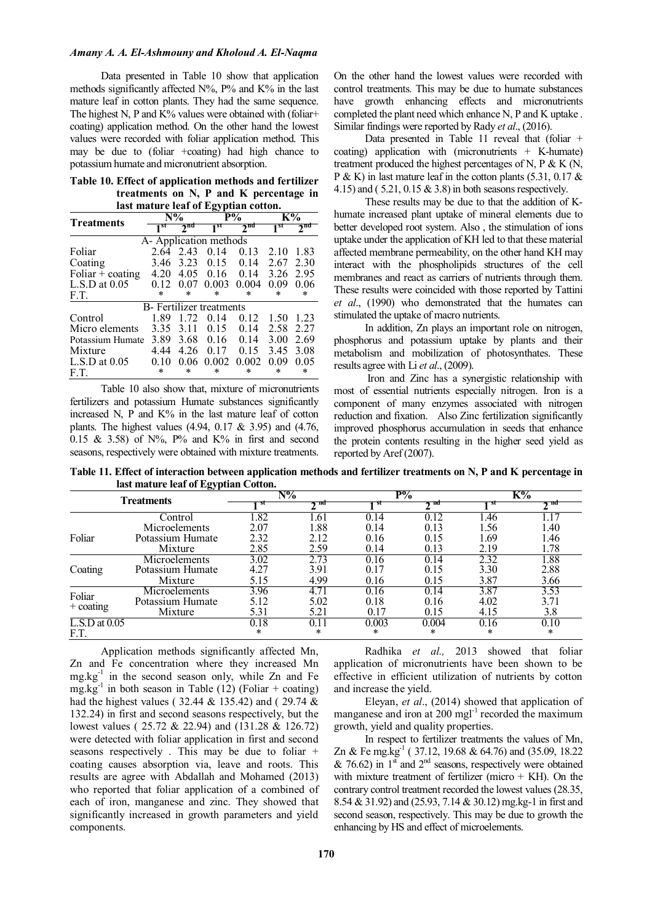### *Amany A. A. El-Ashmouny and Kholoud A. El-Naqma*

Data presented in Table 10 show that application methods significantly affected  $N\%$ ,  $P\%$  and  $K\%$  in the last mature leaf in cotton plants. They had the same sequence. The highest N, P and  $K\%$  values were obtained with (foliar+ coating) application method. On the other hand the lowest values were recorded with foliar application method. This may be due to (foliar +coating) had high chance to potassium humate and micronutrient absorption.

**Table 10. Effect of application methods and fertilizer treatments on N, P and K percentage in last mature leaf of Egyptian cotton.** 

| <b>Treatments</b>             | $N\%$           |                 | $P\%$                            |                 | $K\%$           |                     |  |  |
|-------------------------------|-----------------|-----------------|----------------------------------|-----------------|-----------------|---------------------|--|--|
|                               | 1 <sup>st</sup> | 2 <sup>nd</sup> | 1 <sup>st</sup>                  | 2 <sup>nd</sup> | 1 <sup>st</sup> | $2^{\overline{nd}}$ |  |  |
| A-Application methods         |                 |                 |                                  |                 |                 |                     |  |  |
| Foliar                        | 2.64            | 2.43            | 0.14                             | 0.13            | 2.10            | 1.83                |  |  |
| Coating                       | 3.46            | 3.23            | 0.15                             | 0.14            | 2.67            | 2.30                |  |  |
| Foliar $\overline{+}$ coating | 4 20            | 4.05            | 0.16                             | 0.14            | 3.26            | 295                 |  |  |
| $L.S.D$ at $0.05$             | 0.12            | 0.07            | 0.003                            | 0.004           | 0.09            | 0.06                |  |  |
| F.T.                          | $\ast$          | ж               | $\ast$                           | $\ast$          | $\ast$          | *                   |  |  |
|                               |                 |                 | <b>B</b> - Fertilizer treatments |                 |                 |                     |  |  |
| Control                       | 189             | 1 72            | 014                              | 0.12            | 1.50            | 1 23                |  |  |
| Micro elements                | 3.35            | 3.11            | 0.15                             | 0.14            | 2.58            | 2.27                |  |  |
| Potassium Humate              | 3.89            | 3.68            | 0.16                             | 0.14            | 3.00            | 2.69                |  |  |
| Mixture                       | 4 44            | 4.26            | 0.17                             | 0.15            | 3.45            | 3.08                |  |  |
| $L.S.D$ at $0.05$             | 010             | 0.06            | 0.002                            | 0.002           | 0.09            | 0.05                |  |  |
| F.T.                          | *               | *               | *                                | *               | *               | $\ast$              |  |  |

Table 10 also show that, mixture of micronutrients fertilizers and potassium Humate substances significantly increased N, P and K% in the last mature leaf of cotton plants. The highest values (4.94, 0.17 & 3.95) and (4.76, 0.15 & 3.58) of  $N\%$ . P% and K% in first and second seasons, respectively were obtained with mixture treatments.

On the other hand the lowest values were recorded with control treatments. This may be due to humate substances have growth enhancing effects and micronutrients completed the plant need which enhance N, P and K uptake . Similar findings were reported by Rady *et al*., (2016).

Data presented in Table 11 reveal that (foliar + coating) application with (micronutrients  $+$  K-humate) treatment produced the highest percentages of N, P  $\&$  K (N, P & K) in last mature leaf in the cotton plants  $(5.31, 0.17 \&$ 4.15) and ( 5.21, 0.15 & 3.8) in both seasons respectively.

These results may be due to that the addition of Khumate increased plant uptake of mineral elements due to better developed root system. Also , the stimulation of ions uptake under the application of KH led to that these material affected membrane permeability, on the other hand KH may interact with the phospholipids structures of the cell membranes and react as carriers of nutrients through them. These results were coincided with those reported by Tattini *et al*., (1990) who demonstrated that the humates can stimulated the uptake of macro nutrients.

In addition, Zn plays an important role on nitrogen, phosphorus and potassium uptake by plants and their metabolism and mobilization of photosynthates. These results agree with Li *et al*., (2009).

 Iron and Zinc has a synergistic relationship with most of essential nutrients especially nitrogen. Iron is a component of many enzymes associated with nitrogen reduction and fixation. Also Zinc fertilization significantly improved phosphorus accumulation in seeds that enhance the protein contents resulting in the higher seed yield as reported by Aref (2007).

**Table 11. Effect of interaction between application methods and fertilizer treatments on N, P and K percentage in last mature leaf of Egyptian Cotton.** 

|                       | $-1$             | N%     |         | $P\%$  |       | K%   |        |  |
|-----------------------|------------------|--------|---------|--------|-------|------|--------|--|
| <b>Treatments</b>     |                  | st     | ma<br>^ | 8U     | รπd   |      | пu     |  |
|                       | Control          | .82    | .61     | 0.14   | 0.12  | .46  | 1.17   |  |
|                       | Microelements    | 2.07   | .88     | 0.14   | 0.13  | 1.56 | 1.40   |  |
| Foliar                | Potassium Humate | 2.32   | 2.12    | 0.16   | 0.15  | 1.69 | 1.46   |  |
|                       | Mixture          | 2.85   | 2.59    | 0.14   | 0.13  | 2.19 | 1.78   |  |
| Coating               | Microelements    | 3.02   | 2.73    | 0.16   | 0.14  | 2.32 | 1.88   |  |
|                       | Potassium Humate | 4.27   | 3.91    | 0.17   | 0.15  | 3.30 | 2.88   |  |
|                       | Mixture          | 5.15   | 4.99    | 0.16   | 0.15  | 3.87 | 3.66   |  |
| Foliar<br>$+$ coating | Microelements    | 3.96   | 4.71    | 0.16   | 0.14  | 3.87 | 3.53   |  |
|                       | Potassium Humate | 5.12   | 5.02    | 0.18   | 0.16  | 4.02 | 3.71   |  |
|                       | Mixture          | 5.31   | 5.21    | 0.17   | 0.15  | 4.15 | 3.8    |  |
| $L.S.D$ at $0.05$     |                  | 0.18   | 0.11    | 0.003  | 0.004 | 0.16 | 0.10   |  |
| F.T.                  |                  | $\ast$ | *       | $\ast$ | ∗     | ∗    | $\ast$ |  |

Application methods significantly affected Mn, Zn and Fe concentration where they increased Mn  $mg/kg<sup>-1</sup>$  in the second season only, while Zn and Fe mg.kg<sup>-1</sup> in both season in Table (12) (Foliar + coating) had the highest values ( 32.44 & 135.42) and ( 29.74 & 132.24) in first and second seasons respectively, but the lowest values ( 25.72 & 22.94) and (131.28 & 126.72) were detected with foliar application in first and second seasons respectively . This may be due to foliar + coating causes absorption via, leave and roots. This results are agree with Abdallah and Mohamed (2013) who reported that foliar application of a combined of each of iron, manganese and zinc. They showed that significantly increased in growth parameters and yield components.

Radhika *et al.,* 2013 showed that foliar application of micronutrients have been shown to be effective in efficient utilization of nutrients by cotton and increase the yield.

Eleyan, *et al*., (2014) showed that application of manganese and iron at  $200 \text{ mgl}^{-1}$  recorded the maximum growth, yield and quality properties.

In respect to fertilizer treatments the values of Mn, Zn & Fe mg.kg<sup>-1</sup> (37.12, 19.68 & 64.76) and (35.09, 18.22 & 76.62) in  $1^{\text{st}}$  and  $2^{\text{nd}}$  seasons, respectively were obtained with mixture treatment of fertilizer (micro  $+$  KH). On the contrary control treatment recorded the lowest values (28.35, 8.54 & 31.92) and (25.93, 7.14 & 30.12) mg.kg-1 in first and second season, respectively. This may be due to growth the enhancing by HS and effect of microelements.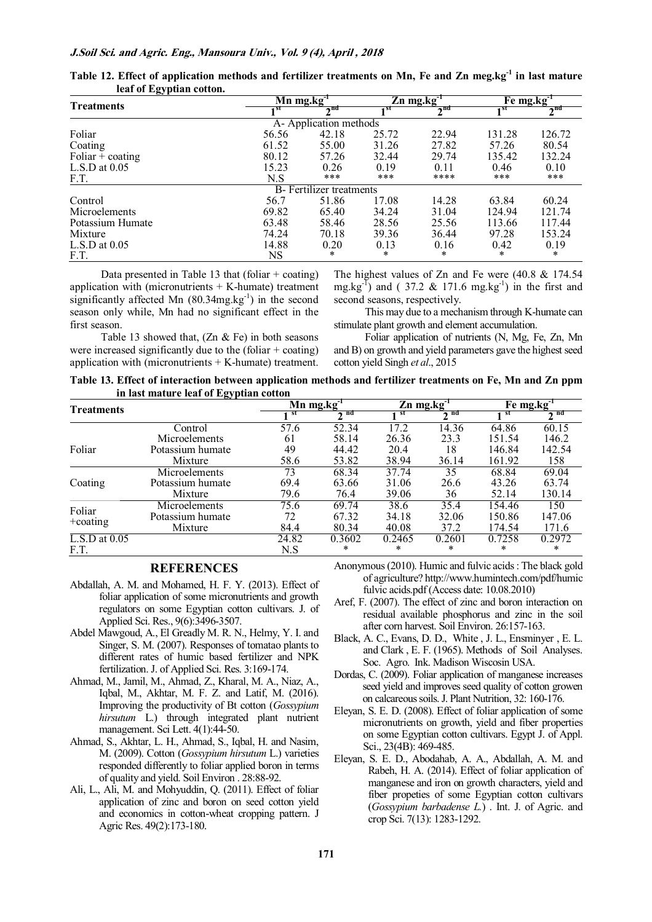| $\sim\,$<br><b>Treatments</b>   | $Mn$ mg.kg $T$ |             |       | $\overline{Z}$ n mg.kg <sup>-1</sup> | Fe mg.kg <sup>-1</sup> |             |  |  |  |  |
|---------------------------------|----------------|-------------|-------|--------------------------------------|------------------------|-------------|--|--|--|--|
|                                 | 1 st           | $\gamma$ nd | 1 st  | $\gamma$ nd                          | 1 st                   | $\gamma$ nd |  |  |  |  |
| A-Application methods           |                |             |       |                                      |                        |             |  |  |  |  |
| Foliar                          | 56.56          | 42.18       | 25.72 | 22.94                                | 131.28                 | 126.72      |  |  |  |  |
| Coating                         | 61.52          | 55.00       | 31.26 | 27.82                                | 57.26                  | 80.54       |  |  |  |  |
| Foliar $\overline{+}$ coating   | 80.12          | 57.26       | 32.44 | 29.74                                | 135.42                 | 132.24      |  |  |  |  |
| $L.S.D$ at $0.05$               | 15.23          | 0.26        | 0.19  | 0.11                                 | 0.46                   | 0.10        |  |  |  |  |
| F.T.                            | N.S            | ***         | ***   | ****                                 | ***                    | ***         |  |  |  |  |
| <b>B</b> -Fertilizer treatments |                |             |       |                                      |                        |             |  |  |  |  |
| Control                         | 56.7           | 51.86       | 17.08 | 14.28                                | 63.84                  | 60.24       |  |  |  |  |
| Microelements                   | 69.82          | 65.40       | 34.24 | 31.04                                | 124.94                 | 121.74      |  |  |  |  |
| Potassium Humate                | 63.48          | 58.46       | 28.56 | 25.56                                | 113.66                 | 117.44      |  |  |  |  |
| Mixture                         | 74.24          | 70.18       | 39.36 | 36.44                                | 97.28                  | 153.24      |  |  |  |  |
| $L.S.D$ at $0.05$               | 14.88          | 0.20        | 0.13  | 0.16                                 | 0.42                   | 0.19        |  |  |  |  |
| F.T.                            | <b>NS</b>      | $\ast$      | *     | *                                    | $\ast$                 | $\ast$      |  |  |  |  |

| Table 12. Effect of application methods and fertilizer treatments on Mn, Fe and Zn meg.kg <sup>-1</sup> in last mature |  |  |  |  |
|------------------------------------------------------------------------------------------------------------------------|--|--|--|--|
| leaf of Egyptian cotton.                                                                                               |  |  |  |  |

Data presented in Table 13 that (foliar  $+$  coating) application with (micronutrients  $+$  K-humate) treatment significantly affected Mn  $(80.34mg \log^{-1})$  in the second season only while, Mn had no significant effect in the first season.

The highest values of Zn and Fe were (40.8 & 174.54 mg.kg<sup>-1</sup>) and (37.2 & 171.6 mg.kg<sup>-1</sup>) in the first and second seasons, respectively.

This may due to a mechanism through K-humate can stimulate plant growth and element accumulation.

Table 13 showed that,  $(Zn \& Fe)$  in both seasons were increased significantly due to the (foliar  $+$  coating) application with (micronutrients  $+$  K-humate) treatment.

Foliar application of nutrients (N, Mg, Fe, Zn, Mn and B) on growth and yield parameters gave the highest seed cotton yield Singh *et al*., 2015

**Table 13. Effect of interaction between application methods and fertilizer treatments on Fe, Mn and Zn ppm in last mature leaf of Egyptian cotton** 

| $\sim$<br><b>Treatments</b> |                  |       | $Mn$ mg.kg $^{-1}$ | $Zn$ mg.kg <sup>-1</sup> |        | Fe mg.kg <sup>-1</sup> |              |
|-----------------------------|------------------|-------|--------------------|--------------------------|--------|------------------------|--------------|
|                             |                  | st    | nd                 | st                       | nd     | st                     | $\lambda$ nd |
|                             | Control          | 57.6  | 52.34              | 17.2                     | 14.36  | 64.86                  | 60.15        |
|                             | Microelements    | 61    | 58.14              | 26.36                    | 23.3   | 151.54                 | 146.2        |
| Foliar                      | Potassium humate | 49    | 44.42              | 20.4                     | 18     | 146.84                 | 142.54       |
|                             | Mixture          | 58.6  | 53.82              | 38.94                    | 36.14  | 161.92                 | 158          |
|                             | Microelements    | 73    | 68.34              | 37.74                    | 35     | 68.84                  | 69.04        |
| Coating                     | Potassium humate | 69.4  | 63.66              | 31.06                    | 26.6   | 43.26                  | 63.74        |
|                             | Mixture          | 79.6  | 76.4               | 39.06                    | 36     | 52.14                  | 130.14       |
| Foliar                      | Microelements    | 75.6  | 69.74              | 38.6                     | 35.4   | 154.46                 | 150          |
|                             | Potassium humate | 72    | 67.32              | 34.18                    | 32.06  | 150.86                 | 147.06       |
| $+$ coating                 | Mixture          | 84.4  | 80.34              | 40.08                    | 37.2   | 174.54                 | 171.6        |
| $\overline{L.S}$ .D at 0.05 |                  | 24.82 | 0.3602             | 0.2465                   | 0.2601 | 0.7258                 | 0.2972       |
| F.T.                        |                  | N.S   | *                  | *                        | *      | *                      | ∗            |

# **REFERENCES**

- Abdallah, A. M. and Mohamed, H. F. Y. (2013). Effect of foliar application of some micronutrients and growth regulators on some Egyptian cotton cultivars. J. of Applied Sci. Res., 9(6):3496-3507.
- Abdel Mawgoud, A., El Greadly M. R. N., Helmy, Y. I. and Singer, S. M. (2007). Responses of tomatao plants to different rates of humic based fertilizer and NPK fertilization. J. of Applied Sci. Res. 3:169-174.
- Ahmad, M., Jamil, M., Ahmad, Z., Kharal, M. A., Niaz, A., Iqbal, M., Akhtar, M. F. Z. and Latif, M. (2016). Improving the productivity of Bt cotton (*Gossypium hirsutum* L.) through integrated plant nutrient management. Sci Lett. 4(1):44-50.
- Ahmad, S., Akhtar, L. H., Ahmad, S., Iqbal, H. and Nasim, M. (2009). Cotton (*Gossypium hirsutum* L.) varieties responded differently to foliar applied boron in terms of quality and yield. Soil Environ . 28:88-92.
- Ali, L., Ali, M. and Mohyuddin, Q. (2011). Effect of foliar application of zinc and boron on seed cotton yield and economics in cotton-wheat cropping pattern. J Agric Res. 49(2):173-180.
- Anonymous (2010). Humic and fulvic acids : The black gold of agriculture? http://www.humintech.com/pdf/humic fulvic acids.pdf (Access date: 10.08.2010)
- Aref, F. (2007). The effect of zinc and boron interaction on residual available phosphorus and zinc in the soil after corn harvest. Soil Environ. 26:157-163.
- Black, A. C., Evans, D. D., White , J. L., Ensminyer , E. L. and Clark , E. F. (1965). Methods of Soil Analyses. Soc. Agro. Ink. Madison Wiscosin USA.
- Dordas, C. (2009). Foliar application of manganese increases seed yield and improves seed quality of cotton growen on calcareous soils. J. Plant Nutrition, 32: 160-176.
- Eleyan, S. E. D. (2008). Effect of foliar application of some micronutrients on growth, yield and fiber properties on some Egyptian cotton cultivars. Egypt J. of Appl. Sci., 23(4B): 469-485.
- Eleyan, S. E. D., Abodahab, A. A., Abdallah, A. M. and Rabeh, H. A. (2014). Effect of foliar application of manganese and iron on growth characters, yield and fiber propeties of some Egyptian cotton cultivars (*Gossypium barbadense L.*) . Int. J. of Agric. and crop Sci. 7(13): 1283-1292.